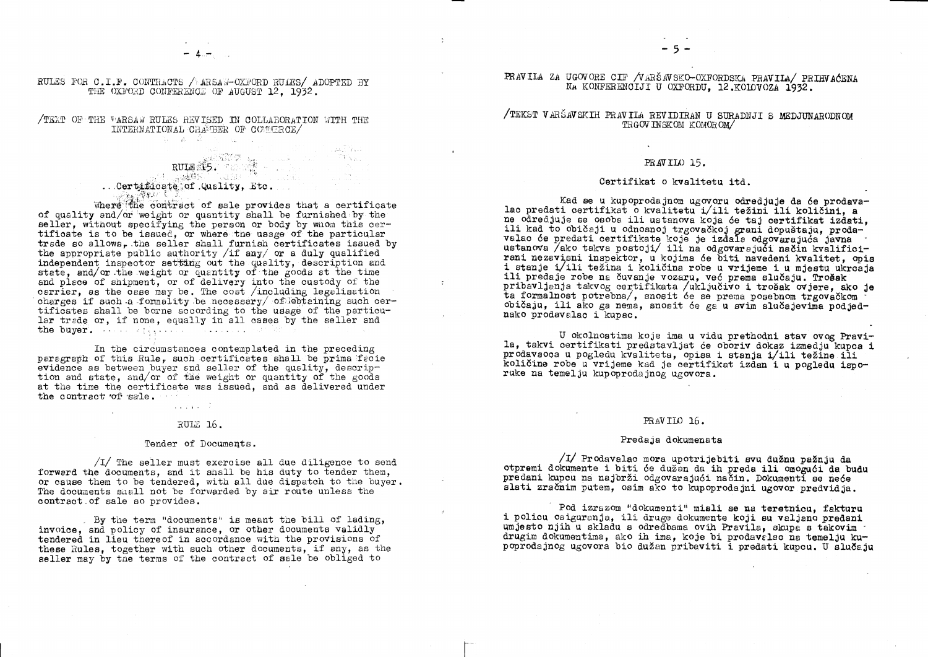RULES FOR C.I.F. CONTRACTS / ARSAW-OXFORD RULES/ ADOPTED BY THE OXFORD CONFERENCE OF AUGUST 12. 1932.

/TEXT OF THE WARSAW RULES REVISED IN COLLABORATION WITH THE INTERNATIONAL CHAMBER OF COMMERCE/  $\mathcal{R}(\mathbf{t}) = \mathbf{A}(\mathbf{t}) = \mathcal{R}(\mathbf{t}) = \mathcal{R}(\mathbf{t}) = \mathcal{R}(\mathbf{t})$ 

# state states in the second second . Certificate of Quality, Etc.

Where the contract of sale provides that a certificate of quality and/or weight or quantity shall be furnished by the seller, without specifying the person or body by whom this certificate is to be issued, or where the usage of the particular trade so allows, the seller shall furnish certificates issued by the appropriate public authority /if  $\frac{day}{xx}$  or a duly qualified independent inspector setting out the quality, description and state, and/or the weight or quantity of the goods at the time and piece of shipment, or of delivery into the custody of the carrier, as the case may be. The cost /including legalisation charges if such a formality be necessary of Tebtaining such certificates shall be borne according to the usage of the particular trade or, if none, equally in all cases by the seller and the buyer. And applying the second state

In the circumstances contemplated in the preceding paragraph of this Rule, such certificates shall be prima facie evidence as between buyer and seller of the quality, description and state, and/or of the weight or quantity of the goods at the time the certificate was issued, and as delivered under the contract of sale.

# RULE 16.

 $\sim 1000$  km s  $^{-1}$  .

### Tender of Documents.

 $\sqrt{I}$  The seller must exercise all due diligence to send forward the documents, and it shall be his duty to tender them, or cause them to be tendered, with all due dispatch to the buyer. The documents shall not be forwarded by air route unless the contract of sale so provides.

. By the term "documents" is meant the bill of lading, invoice, and policy of insurance, or other documents validly tendered in lieu there of in accordance with the provisions of these Rules, together with such other documents, if any, as the seller may by the terms of the contract of sale be obliged to

PRAVILA ZA UGOVORE CIF /VARŠAVSKO-OXFORDSKA PRAVILA/ PRIHVAĆENA NA KONFERENCIJI U OXFORDU, 12.KOLOVOZA 1932.

/TEKST VARŠAVSKIH PRAVILA REVIDIRAN U SURADNJI S MEDJUNARODNOM TRGOV INSKOM KOMOROM/

 $-5 -$ 

# PRAVILO 15.

# Certifikat o kvalitetu itd.

Kad se u kupoprodajnom ugovoru odredjuje da će prodavalac predati certifikat o kvalitetu i/ili težini ili količini, a ne odredjuje se osoba ili ustanova koja će taj certifikat izdati, ili kad to običaji u odnosnoj trgovačkoj grani dopuštaju, proda-<br>valao će predati certifikate koje je izdale odgovarajuća javna<br>ustanova /ako takva postoji/ ili na odgovarajući način kvalificirani nezavisni inspektor, u kojima će biti navedeni kvalitet, opis<br>i stanje i/ili težina i količina robe u vrijeme i u mjestu ukrcaja ili predaje robe na čuvanje vozaru, već prema slučaju. Trošak pribavljanja takvog certifikata /uključivo i trošak ovjere, ako je ta formalnost potrebna/, snosit će se prema posebnom trgovačkom običaju, ili ako ga nema, snosit će ga u svim slučajevima podjednako prodavalao i kupac.

U okolnostima koje ima u vidu prethodni stav ovog Pravila, takvi certifikati predstavljat će oboriv dokaz izmedju kupca i prodavaoca u pogledu kvaliteta, opisa i stanja i/ili težine ili količine robe u vrijeme kad je certifikat izdan i u pogledu isporuke na temelju kupoprodajnog ugovora.

# PRAVILO 16.

# Predaja dokumenata

/I/ Prodavalac mora upotrijebiti svu dužnu pažnju da otpremi dokumente i biti će dužan da ih preda ili omogući da budu predani kupcu na najbrži odgovarajući način. Dokumenti se neće slati zračnim putem, osim ako to kupoprodajni ugovor predvidja.

Pod izrazom "dokumenti" misli se na teretnicu, fakturu i policu osiguranja, ili druge dokumente koji su valjano predani umjesto njih u skladu s određbama ovih Pravila, skupa s takovim drugim dokumentima, ako ih ima, koje bi prodavslao na temelju kupoprodajnog ugovora bio dužan pribaviti i predati kupcu. U slučaju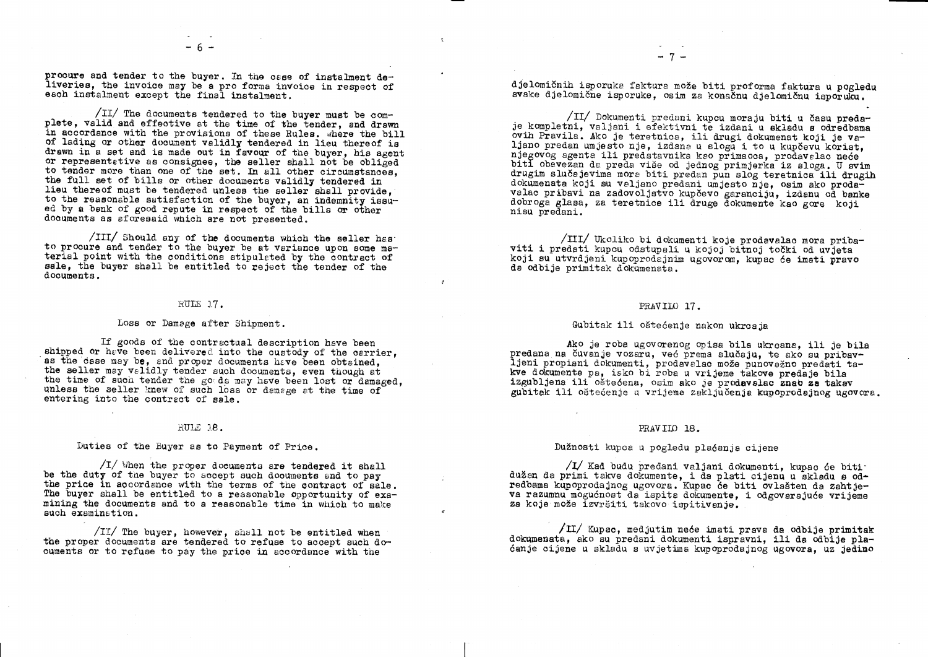procure and tender to the buyer. In the osse of instalment deliveries, the invoice may be a pro forma invoice in respect of each instalment except the final instalment.

/II/ The documents tendered to the buyer must be complete, valid and effective at the time of the tender, and drawn in accordance with the provisions of these Rules. where the bill of lading or other document validly tendered in lieu thereof is drawn in a set and is made out in favour of the buyer, his agent or representative as consignee, the seller shall not be obliged to tender more than one of the set. In all other circumstances. the full set of bills or other documents validly tendered in lieu thereof must be tendered unless the seller shall provide. to the reasonable satisfaction of the buyer, an indemnity issued by a bank of good repute in respect of the bills or other documents as aforesaid which are not presented.

/III/ Should any of the documents which the seller has to procure and tender to the buyer be at variance upon some material point with the conditions stipulated by the contract of sale, the buyer shall be entitled to reject the tender of the documents.

# RULE 17.

# Loss or Damage after Shipment.

If goods of the contractual description have been shipped or have been delivered into the custody of the carrier. as the case may be. and proper documents have been obtained. the seller may validly tender such documents, even though at the time of such tender the goods may have been lost or damaged, unless the seller knew of such loss or demage at the time of entering into the contract of sale.

# RULE 18.

Duties of the Buyer as to Payment of Price.

 $\sqrt{1}$  When the proper documents are tendered it shall be the duty of the buyer to accept such documents and to pay the price in accordance with the terms of the contract of sale. The buyer shall be entitled to a reasonable opportunity of examining the documents and to a reasonable time in which to make such examination.

/II/ The buyer, however, shall not be entitled when the proper documents are tendered to refuse to accept such documents or to refuse to pay the price in accordance with the

djelomičnih isporuka faktura može biti proforma faktura u pogledu svake djelomične isporuke, osim za konačnu djelomičnu isporuku.

/II/ Dokumenti predani kupcu moraju biti u času predaje kompletni, valjani i efektivni te izdani u skladu s odredbama ovih Pravila. Ako je teretnica, ili drugi dokumenat koji je valjano predan umjesto nje, izdana u slogu i to u kupčevu korist. njegovog agenta ili predstavnika kao primaoca, prodavalac neće biti obavezan da preda više od jednog primjerka iz sloga. U svim drugim slučajevima mora biti predan pun slog teretnica ili drugih dokumenata koji su veljano predani umjesto nje, osim ako prodavalac pribavi na zadovoljstvo kupčevo garanciju, izdanu od banke dobroga glasa, za teretnice ili druge dokumente kao gore koji nisu predani.

/III/ Ukoliko bi dokumenti koje prodavalao mora pribaviti i predati kupcu odstupali u kojoj bitnoj točki od uvjeta koji su utvrdjeni kupoprodajnim ugovorom, kupac će imati pravo da odbije primitak dokumenata.

# PRAVILO 17.

# Gubitak ili oštećenje nakon ukrcaja

 $\sigma$ 

Ako je roba ugovorenog opisa bila ukrcana, ili je bila predana na čuvanje vozaru, već prema slučaju, te ako su pribavljeni propisni dokumenti, prodavalac može punovažno predati takve dokumente pa, isko bi roba u vrijeme takove predaje bila izgubljena ili oštećena, osim ako je prodavalac znao za takav gubitak ili oštećenje u vrijeme zaključenja kupoprodajnog ugovora.

# PRAVILO 18.

# Dužnosti kupca u pogledu plaćanja cijene

/I/ Kad budu predani valjani dokumenti, kupac će bitidužan da primi takve dokumente, i da plati cijenu u skladu s odredbama kupoprodajnog ugovora. Kupac će biti ovlašten da zahtjeva razumnu mogućnost da ispita dokumente, i odgovarajuće vrijeme za koje može izvršiti takovo ispitivanje.

/II/ Kupac, medjutim neće imati prava da odbije primitak dokumenata. ako su predani dokumenti ispravni, ili da odbije plaćanje cijene u skladu s uvjetima kupoprodajnog ugovora, uz jedino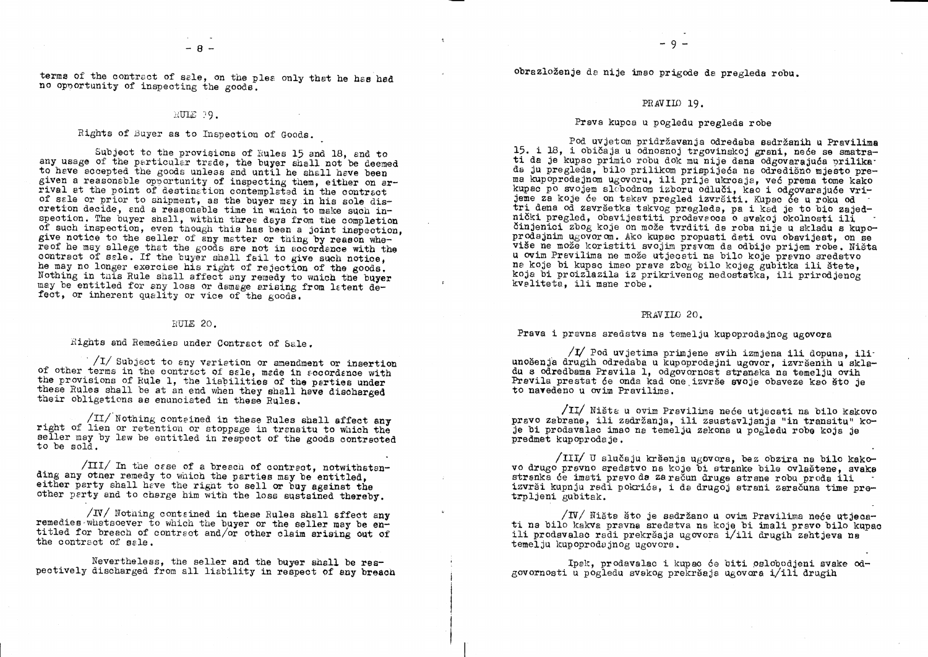terms of the contract of sale, on the plea only that he has had no opportunity of inspecting the goods.

# RUIE 19.

Rights of Buyer as to Inspection of Goods.

Subject to the provisions of Rules 15 and 18, and to any usage of the particular trade, the buyer shall not be deemed to have accepted the goods unless and until he shall have been given a reasonable opportunity of inspecting them, either on arrival et the point of destination contemplated in the contract of sale or prior to shipment, as the buyer may in his sole discretion decide, and a reasonable time in which to make such inspection. The buyer shall, within three days from the completion of such inspection, even though this has been a joint inspection. give notice to the seller of any matter or thing by reason whereof he may allege that the goods are not in accordance with the contract of sale. If the buyer shall fail to give such notice. he may no longer exercise his right of rejection of the goods. Nothing in this Rule shall affect any remedy to which the buyer may be entitled for any loss or damage arising from latent defect, or inherent quality or vice of the goods.

# RULE 20.

Rights and Remedies under Contract of Sale.

 $\frac{1}{1}$  Subject to any variation or amendment or insertion of other terms in the contract of sale, made in socordance with the provisions of Rule 1, the liabilities of the parties under these Rules shall be at an end when they shall have discharged their obligations as enunciated in these Rules.

/II/ Nothing contained in these Rules shall affect any right of lien or retention or stoppage in transitu to which the seller may by law be entitled in respect of the goods contracted to be sold.

 $\sqrt{\pi}$ In the case of a breach of contract, notwithstanding any other remedy to which the parties may be entitled. either party shall have the right to sell or buy against the other perty and to charge him with the loss sustained thereby.

 $/$ N $/$  Nothing contained in these Rules shall affect any remedies whatsoever to which the buyer or the seller may be entitled for breach of contract and/or other claim arising out of the contract of sale.

Nevertheless, the seller and the buyer shall be respectively discharged from all liability in respect of any breach obrazloženje da nije imao prigode da pregleda robu.

# PRAVILO 19.

Prava kupca u pogledu pregleda robe

Pod uvjetom pridržavanja odredaba sadržanih u Pravilima 15. i 18, i običaja u odnosnoj trgovinskoj grani, neće se smatrati da je kupac primio robu dok mu nije dana odgovarajuća prilika. da ju pregleda, bilo prilikom prispijeća na odredišno mjesto prema kupoprodajnom ugovoru, ili prije ukrcaja, već prema tome kako kupac po svojem slobodnom izboru odluči, kao i odgovarajuće vrijeme za koje će on takav pregled izvršiti. Kupac će u roku od tri dena od završetka takvog pregleda, pa i kad je to bio zajednički pregled, obavijestiti prodevsooa o svakoj okolnosti ili činjenici zbog koje on može tvrditi de roba nije u skladu s kupoprodajnim ugovorom. Ako kupac propusti dati ovu obavijest, on se više ne može koristiti svojim pravom da odbije prijem robe. Ništa u ovim Pravilima ne može utjecati na bilo koje pravno sredstvo na koje bi kupac imao prava zbog bilo kojeg gubitka ili štete, koja bi proizlazila iz prikrivenog nedostatka, ili prirodjenog kvaliteta, ili mane robe.

# PRAVILO 20.

Prava i pravna sredstva na temelju kupoprodajnog ugovora

/I/ Pod uvjetima primjene svih izmjena ili dopuna, iliunošenja drugih određaba u kupoprodajni ugovor, izvršenih u skladu s odredbama Pravila 1, odgovornost stranska na temelju ovih Pravila prestat će onda kad one izvrše svoje obaveze kao što je to navedeno u ovim Pravilima.

/II/ Ništa u ovim Pravilima neće utjecati na bilo kakovo pravo zabrane, ili zadržanja, ili zaustavljanja "in transitu" koje bi prodavalac imao na temelju zakona u pogledu robe koja je predmet kupoprodaje.

/III/ U slučaju kršenja ugovora, bez obzira na bilo kakovo drugo pravno sredstvo na koje bi stranke bile ovlaštene, svaka stranka će imati pravo da za račun druge strane robu proda ili izvrši kupnju redi pokrića, i da drugoj strani zaračuna time pretrpljeni gubitak.

 $\sqrt{IV}$  Ništa što je sadržano u ovim Pravilima neće utjecati na bilo kakva pravna sredstva na koje bi imali pravo bilo kupac ili prodavalac radi prekršaja ugovora i/ili drugih zahtjeva na temelju kupoprodajnog ugovora.

Ipak, prodavalac i kupac će biti oslobodjeni svake odgovornosti u pogledu svekog prekršaja ugovora i/ili drugih